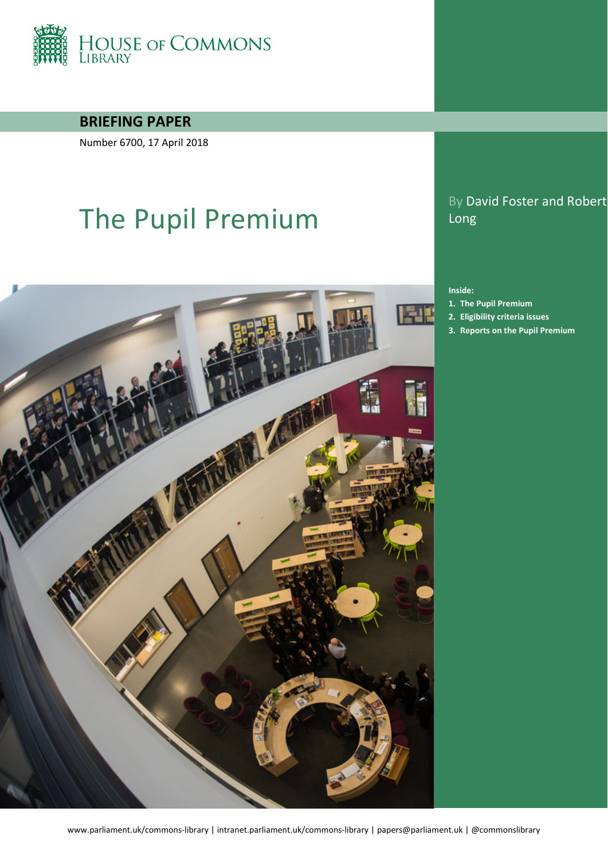

**BRIEFING PAPER**

Number 6700, 17 April 2018

# The Pupil Premium



#### By David Foster and Robert Long

#### **Inside:**

- **1. [The Pupil Premium](#page-3-0)**
- **2. [Eligibility criteria issues](#page-11-0)**
- **3. [Reports on the Pupil Premium](#page-15-0)**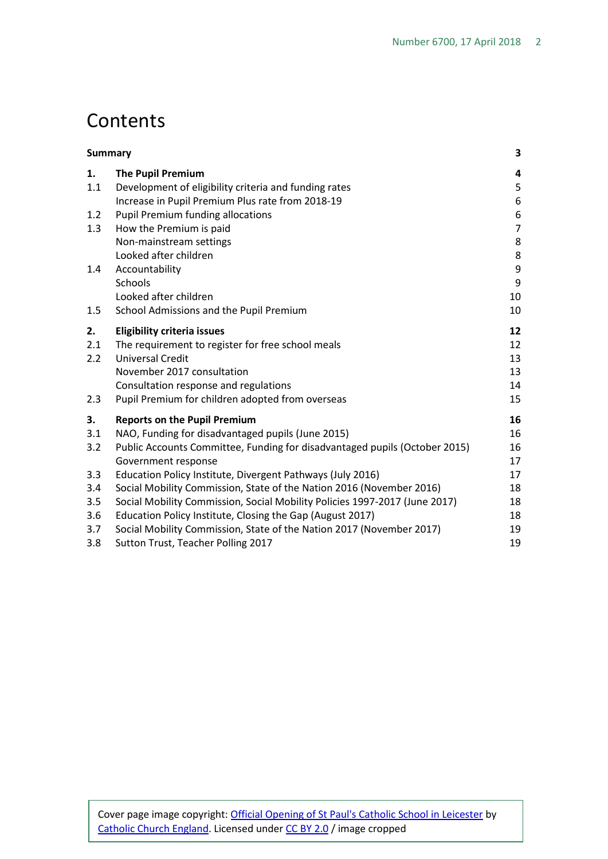## Contents

| <b>Summary</b> |                                                                            | 3              |
|----------------|----------------------------------------------------------------------------|----------------|
| 1.             | <b>The Pupil Premium</b>                                                   | 4              |
| 1.1            | Development of eligibility criteria and funding rates                      | 5              |
|                | Increase in Pupil Premium Plus rate from 2018-19                           | 6              |
| 1.2            | <b>Pupil Premium funding allocations</b>                                   | 6              |
| 1.3            | How the Premium is paid                                                    | $\overline{7}$ |
|                | Non-mainstream settings                                                    | 8              |
|                | Looked after children                                                      | 8              |
| 1.4            | Accountability                                                             | 9              |
|                | Schools                                                                    | 9              |
|                | Looked after children                                                      | 10             |
| 1.5            | School Admissions and the Pupil Premium                                    | 10             |
| 2.             | <b>Eligibility criteria issues</b>                                         | 12             |
| 2.1            | The requirement to register for free school meals                          | 12             |
| 2.2            | <b>Universal Credit</b>                                                    | 13             |
|                | November 2017 consultation                                                 | 13             |
|                | Consultation response and regulations                                      | 14             |
| 2.3            | Pupil Premium for children adopted from overseas                           | 15             |
| 3.             | <b>Reports on the Pupil Premium</b>                                        | 16             |
| 3.1            | NAO, Funding for disadvantaged pupils (June 2015)                          | 16             |
| 3.2            | Public Accounts Committee, Funding for disadvantaged pupils (October 2015) | 16             |
|                | Government response                                                        | 17             |
| 3.3            | Education Policy Institute, Divergent Pathways (July 2016)                 | 17             |
| 3.4            | Social Mobility Commission, State of the Nation 2016 (November 2016)       | 18             |
| 3.5            | Social Mobility Commission, Social Mobility Policies 1997-2017 (June 2017) | 18             |
| 3.6            | Education Policy Institute, Closing the Gap (August 2017)                  | 18             |
| 3.7            | Social Mobility Commission, State of the Nation 2017 (November 2017)       | 19             |
| 3.8            | Sutton Trust, Teacher Polling 2017                                         | 19             |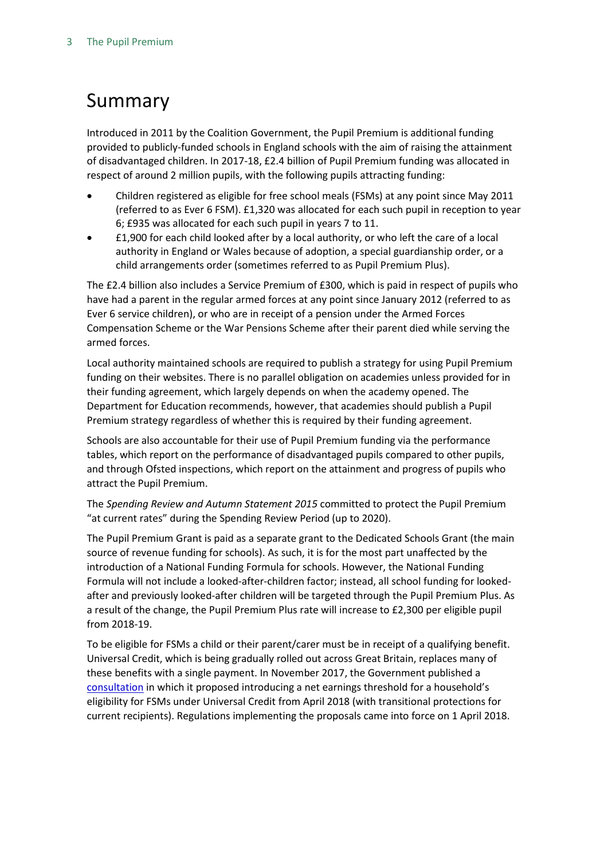## <span id="page-2-0"></span>Summary

Introduced in 2011 by the Coalition Government, the Pupil Premium is additional funding provided to publicly-funded schools in England schools with the aim of raising the attainment of disadvantaged children. In 2017-18, £2.4 billion of Pupil Premium funding was allocated in respect of around 2 million pupils, with the following pupils attracting funding:

- Children registered as eligible for free school meals (FSMs) at any point since May 2011 (referred to as Ever 6 FSM). £1,320 was allocated for each such pupil in reception to year 6; £935 was allocated for each such pupil in years 7 to 11.
- £1,900 for each child looked after by a local authority, or who left the care of a local authority in England or Wales because of adoption, a special guardianship order, or a child arrangements order (sometimes referred to as Pupil Premium Plus).

The £2.4 billion also includes a Service Premium of £300, which is paid in respect of pupils who have had a parent in the regular armed forces at any point since January 2012 (referred to as Ever 6 service children), or who are in receipt of a pension under the Armed Forces Compensation Scheme or the War Pensions Scheme after their parent died while serving the armed forces.

Local authority maintained schools are required to publish a strategy for using Pupil Premium funding on their websites. There is no parallel obligation on academies unless provided for in their funding agreement, which largely depends on when the academy opened. The Department for Education recommends, however, that academies should publish a Pupil Premium strategy regardless of whether this is required by their funding agreement.

Schools are also accountable for their use of Pupil Premium funding via the performance tables, which report on the performance of disadvantaged pupils compared to other pupils, and through Ofsted inspections, which report on the attainment and progress of pupils who attract the Pupil Premium.

The *Spending Review and Autumn Statement 2015* committed to protect the Pupil Premium "at current rates" during the Spending Review Period (up to 2020).

The Pupil Premium Grant is paid as a separate grant to the Dedicated Schools Grant (the main source of revenue funding for schools). As such, it is for the most part unaffected by the introduction of a National Funding Formula for schools. However, the National Funding Formula will not include a looked-after-children factor; instead, all school funding for lookedafter and previously looked-after children will be targeted through the Pupil Premium Plus. As a result of the change, the Pupil Premium Plus rate will increase to £2,300 per eligible pupil from 2018-19.

To be eligible for FSMs a child or their parent/carer must be in receipt of a qualifying benefit. Universal Credit, which is being gradually rolled out across Great Britain, replaces many of these benefits with a single payment. In November 2017, the Government published a [consultation](https://consult.education.gov.uk/healthy-pupil-unit/fsm/) in which it proposed introducing a net earnings threshold for a household's eligibility for FSMs under Universal Credit from April 2018 (with transitional protections for current recipients). Regulations implementing the proposals came into force on 1 April 2018.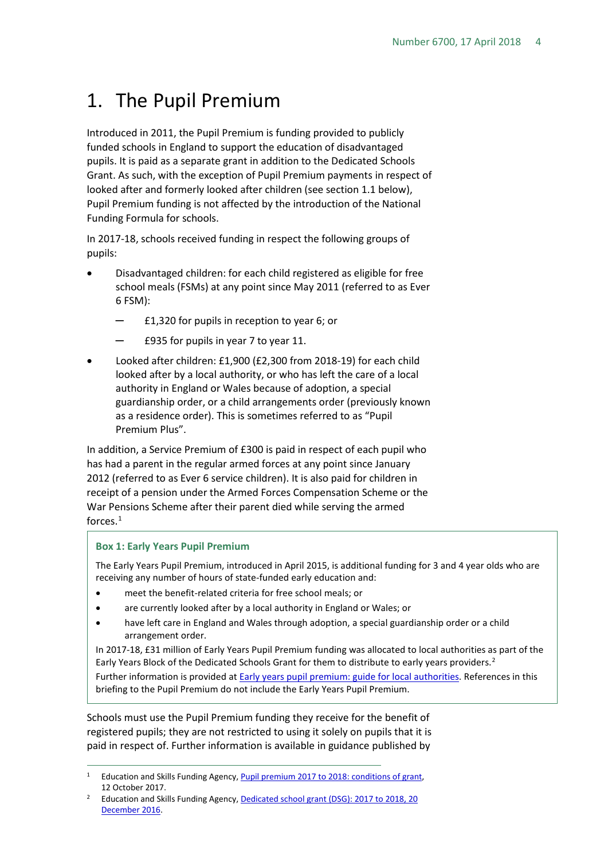## <span id="page-3-0"></span>1. The Pupil Premium

Introduced in 2011, the Pupil Premium is funding provided to publicly funded schools in England to support the education of disadvantaged pupils. It is paid as a separate grant in addition to the Dedicated Schools Grant. As such, with the exception of Pupil Premium payments in respect of looked after and formerly looked after children (see section 1.1 below), Pupil Premium funding is not affected by the introduction of the National Funding Formula for schools.

In 2017-18, schools received funding in respect the following groups of pupils:

- Disadvantaged children: for each child registered as eligible for free school meals (FSMs) at any point since May 2011 (referred to as Ever 6 FSM):
	- ─ £1,320 for pupils in reception to year 6; or
	- ─ £935 for pupils in year 7 to year 11.
- Looked after children: £1,900 (£2,300 from 2018-19) for each child looked after by a local authority, or who has left the care of a local authority in England or Wales because of adoption, a special guardianship order, or a child arrangements order (previously known as a residence order). This is sometimes referred to as "Pupil Premium Plus".

In addition, a Service Premium of £300 is paid in respect of each pupil who has had a parent in the regular armed forces at any point since January 2012 (referred to as Ever 6 service children). It is also paid for children in receipt of a pension under the Armed Forces Compensation Scheme or the War Pensions Scheme after their parent died while serving the armed forces.<sup>[1](#page-3-1)</sup>

#### **Box 1: Early Years Pupil Premium**

The Early Years Pupil Premium, introduced in April 2015, is additional funding for 3 and 4 year olds who are receiving any number of hours of state-funded early education and:

- meet the benefit-related criteria for free school meals; or
- are currently looked after by a local authority in England or Wales; or
- have left care in England and Wales through adoption, a special guardianship order or a child arrangement order.

In 2017-18, £31 million of Early Years Pupil Premium funding was allocated to local authorities as part of the Early Years Block of the Dedicated Schools Grant for them to distribute to early years providers.<sup>[2](#page-3-2)</sup> Further information is provided a[t Early years pupil premium: guide for local authorities.](https://www.gov.uk/guidance/early-years-pupil-premium-guide-for-local-authorities) References in this briefing to the Pupil Premium do not include the Early Years Pupil Premium.

Schools must use the Pupil Premium funding they receive for the benefit of registered pupils; they are not restricted to using it solely on pupils that it is paid in respect of. Further information is available in guidance published by

<span id="page-3-1"></span><sup>&</sup>lt;sup>1</sup> Education and Skills Funding Agency, Pupil premium 2017 to 2018: conditions of grant, 12 October 2017.

<span id="page-3-2"></span><sup>&</sup>lt;sup>2</sup> Education and Skills Funding Agency, Dedicated school grant (DSG): 2017 to 2018, 20 [December 2016.](https://www.gov.uk/government/publications/dedicated-schools-grant-dsg-2017-to-2018)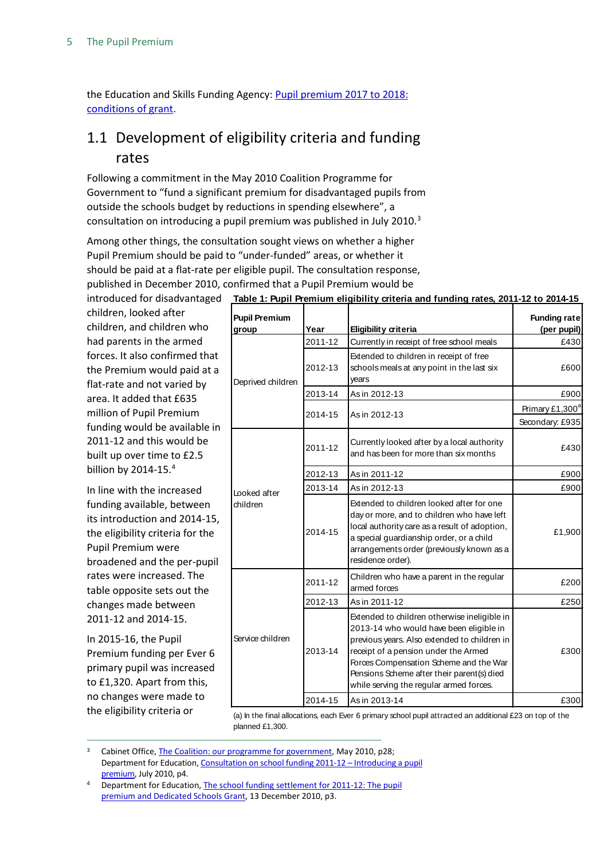the Education and Skills Funding Agency[: Pupil premium 2017 to 2018:](https://www.gov.uk/government/publications/pupil-premium-conditions-of-grant-2017-to-2018/pupil-premium-conditions-of-grant-2017-to-2018#eligibility)  [conditions of grant.](https://www.gov.uk/government/publications/pupil-premium-conditions-of-grant-2017-to-2018/pupil-premium-conditions-of-grant-2017-to-2018#eligibility)

## <span id="page-4-0"></span>1.1 Development of eligibility criteria and funding rates

Following a commitment in the May 2010 Coalition Programme for Government to "fund a significant premium for disadvantaged pupils from outside the schools budget by reductions in spending elsewhere", a consultation on introducing a pupil premium was published in July 2010.[3](#page-4-1)

Among other things, the consultation sought views on whether a higher Pupil Premium should be paid to "under-funded" areas, or whether it should be paid at a flat-rate per eligible pupil. The consultation response, published in December 2010, confirmed that a Pupil Premium would be

| merodacca for alsaavantagea                                                                                                                                                                                      |                               |         |                                                                                                                                                                                                                                                                                                                    |                                    |
|------------------------------------------------------------------------------------------------------------------------------------------------------------------------------------------------------------------|-------------------------------|---------|--------------------------------------------------------------------------------------------------------------------------------------------------------------------------------------------------------------------------------------------------------------------------------------------------------------------|------------------------------------|
| children, looked after<br>children, and children who                                                                                                                                                             | <b>Pupil Premium</b><br>group | Year    | <b>Eligibility criteria</b>                                                                                                                                                                                                                                                                                        | <b>Funding rate</b><br>(per pupil) |
| had parents in the armed                                                                                                                                                                                         | Deprived children             | 2011-12 | Currently in receipt of free school meals                                                                                                                                                                                                                                                                          | £430                               |
| forces. It also confirmed that<br>the Premium would paid at a<br>flat-rate and not varied by                                                                                                                     |                               | 2012-13 | Extended to children in receipt of free<br>schools meals at any point in the last six<br>years                                                                                                                                                                                                                     | £600                               |
| area. It added that £635                                                                                                                                                                                         |                               | 2013-14 | As in 2012-13                                                                                                                                                                                                                                                                                                      | £900                               |
| million of Pupil Premium                                                                                                                                                                                         |                               | 2014-15 | As in 2012-13                                                                                                                                                                                                                                                                                                      | Primary £1,300 <sup>a</sup>        |
| funding would be available in<br>2011-12 and this would be<br>built up over time to £2.5                                                                                                                         | Looked after<br>children      | 2011-12 | Currently looked after by a local authority<br>and has been for more than six months                                                                                                                                                                                                                               | Secondary: £935<br>£430            |
| billion by 2014-15.4                                                                                                                                                                                             |                               | 2012-13 | As in 2011-12                                                                                                                                                                                                                                                                                                      | £900                               |
| In line with the increased                                                                                                                                                                                       |                               | 2013-14 | As in 2012-13                                                                                                                                                                                                                                                                                                      | £900                               |
| funding available, between<br>its introduction and 2014-15,<br>the eligibility criteria for the<br>Pupil Premium were<br>broadened and the per-pupil<br>rates were increased. The<br>table opposite sets out the |                               | 2014-15 | Extended to children looked after for one<br>day or more, and to children who have left<br>local authority care as a result of adoption,<br>a special guardianship order, or a child<br>arrangements order (previously known as a<br>residence order).                                                             | £1,900                             |
|                                                                                                                                                                                                                  | Service children              | 2011-12 | Children who have a parent in the regular<br>armed forces                                                                                                                                                                                                                                                          | £200                               |
| changes made between                                                                                                                                                                                             |                               | 2012-13 | As in 2011-12                                                                                                                                                                                                                                                                                                      | £250                               |
| 2011-12 and 2014-15.<br>In 2015-16, the Pupil<br>Premium funding per Ever 6<br>primary pupil was increased<br>to £1,320. Apart from this,                                                                        |                               | 2013-14 | Extended to children otherwise ineligible in<br>2013-14 who would have been eligible in<br>previous years. Also extended to children in<br>receipt of a pension under the Armed<br>Forces Compensation Scheme and the War<br>Pensions Scheme after their parent(s) died<br>while serving the regular armed forces. | £300                               |
| no changes were made to                                                                                                                                                                                          |                               | 2014-15 | As in 2013-14                                                                                                                                                                                                                                                                                                      | £300                               |
| the eligibility criteria or                                                                                                                                                                                      |                               |         | (a) la the final allocations, each Ever C primary school pupil attracted an additional C22 on tap of the                                                                                                                                                                                                           |                                    |

(a) In the final allocations, each Ever 6 primary school pupil attracted an additional £23 on top of the planned £1,300.

<span id="page-4-1"></span>Cabinet Office[, The Coalition: our programme for government,](http://www.cabinetoffice.gov.uk/sites/default/files/resources/coalition_programme_for_government.pdf) May 2010, p28; Department for Education, Consultation on school funding 2011-12 - Introducing a pupil [premium,](http://www.education.gov.uk/consultations/downloadableDocs/School%20Funding%20Consultation%20Document.pdf) July 2010, p4.

<span id="page-4-2"></span>Department for Education, The school funding settlement for 2011-12: The pupil [premium and Dedicated Schools Grant,](http://media.education.gov.uk/assets/files/pdf/t/the%20school%20funding%20settlement%20for%202011%2012%20the%20pupil%20premium%20and%20dedicated%20schools%20grant.pdf) 13 December 2010, p3.

#### introduced for disadvantaged **Table 1: Pupil Premium eligibility criteria and funding rates, 2011-12 to 2014-15**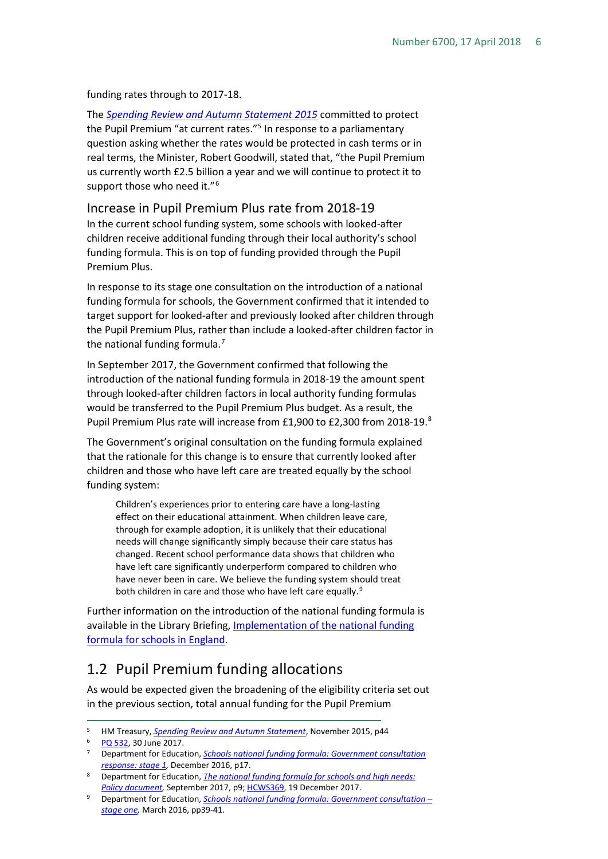funding rates through to 2017-18.

The *[Spending Review and Autumn Statement 2015](https://www.gov.uk/government/uploads/system/uploads/attachment_data/file/479749/52229_Blue_Book_PU1865_Web_Accessible.pdf)* committed to protect the Pupil Premium "at current rates."<sup>[5](#page-5-2)</sup> In response to a parliamentary question asking whether the rates would be protected in cash terms or in real terms, the Minister, Robert Goodwill, stated that, "the Pupil Premium us currently worth £2.5 billion a year and we will continue to protect it to support those who need it."<sup>[6](#page-5-3)</sup>

## <span id="page-5-0"></span>Increase in Pupil Premium Plus rate from 2018-19 In the current school funding system, some schools with looked-after

children receive additional funding through their local authority's school funding formula. This is on top of funding provided through the Pupil Premium Plus.

In response to its stage one consultation on the introduction of a national funding formula for schools, the Government confirmed that it intended to target support for looked-after and previously looked after children through the Pupil Premium Plus, rather than include a looked-after children factor in the national funding formula.<sup>[7](#page-5-4)</sup>

In September 2017, the Government confirmed that following the introduction of the national funding formula in 2018-19 the amount spent through looked-after children factors in local authority funding formulas would be transferred to the Pupil Premium Plus budget. As a result, the Pupil Premium Plus rate will increase from £1,900 to £2,300 from 201[8](#page-5-5)-19.8

The Government's original consultation on the funding formula explained that the rationale for this change is to ensure that currently looked after children and those who have left care are treated equally by the school funding system:

Children's experiences prior to entering care have a long-lasting effect on their educational attainment. When children leave care, through for example adoption, it is unlikely that their educational needs will change significantly simply because their care status has changed. Recent school performance data shows that children who have left care significantly underperform compared to children who have never been in care. We believe the funding system should treat both children in care and those who have left care equally.<sup>[9](#page-5-6)</sup>

Further information on the introduction of the national funding formula is available in the Library Briefing, *Implementation of the national funding* [formula for schools in England.](http://researchbriefings.parliament.uk/ResearchBriefing/Summary/CBP-8106)

## <span id="page-5-1"></span>1.2 Pupil Premium funding allocations

As would be expected given the broadening of the eligibility criteria set out in the previous section, total annual funding for the Pupil Premium

<span id="page-5-2"></span> <sup>5</sup> HM Treasury, *[Spending Review and Autumn Statement](https://www.gov.uk/government/uploads/system/uploads/attachment_data/file/479749/52229_Blue_Book_PU1865_Web_Accessible.pdf)*, November 2015, p44

<span id="page-5-4"></span><span id="page-5-3"></span><sup>6</sup> [PQ 532,](https://search.parliament.uk/search?q=type%3A%22Parliamentary+questions%22+ref%3A532&rows=10&view=detailed&s=date) 30 June 2017.

<sup>7</sup> Department for Education, *[Schools national funding formula: Government consultation](https://www.gov.uk/government/uploads/system/uploads/attachment_data/file/577357/Schools_national_funding_formula_government_consultation_response__stage_1.pdf)  [response: stage 1,](https://www.gov.uk/government/uploads/system/uploads/attachment_data/file/577357/Schools_national_funding_formula_government_consultation_response__stage_1.pdf)* December 2016, p17.

<span id="page-5-5"></span><sup>8</sup> Department for Education, *[The national funding formula for schools and high needs:](https://www.gov.uk/government/uploads/system/uploads/attachment_data/file/648532/national_funding_formula_for_schools_and_high_needs-Policy_document.pdf)  [Policy document,](https://www.gov.uk/government/uploads/system/uploads/attachment_data/file/648532/national_funding_formula_for_schools_and_high_needs-Policy_document.pdf)* September 2017, p9[; HCWS369,](https://www.parliament.uk/business/publications/written-questions-answers-statements/written-statement/Commons/2017-12-19/HCWS369/) 19 December 2017.

<span id="page-5-6"></span><sup>9</sup> Department for Education, *[Schools national funding formula: Government consultation –](https://consult.education.gov.uk/funding-policy-unit/schools-national-funding-formula/supporting_documents/Schools_NFF_consultation.pdf) [stage one,](https://consult.education.gov.uk/funding-policy-unit/schools-national-funding-formula/supporting_documents/Schools_NFF_consultation.pdf)* March 2016, pp39-41.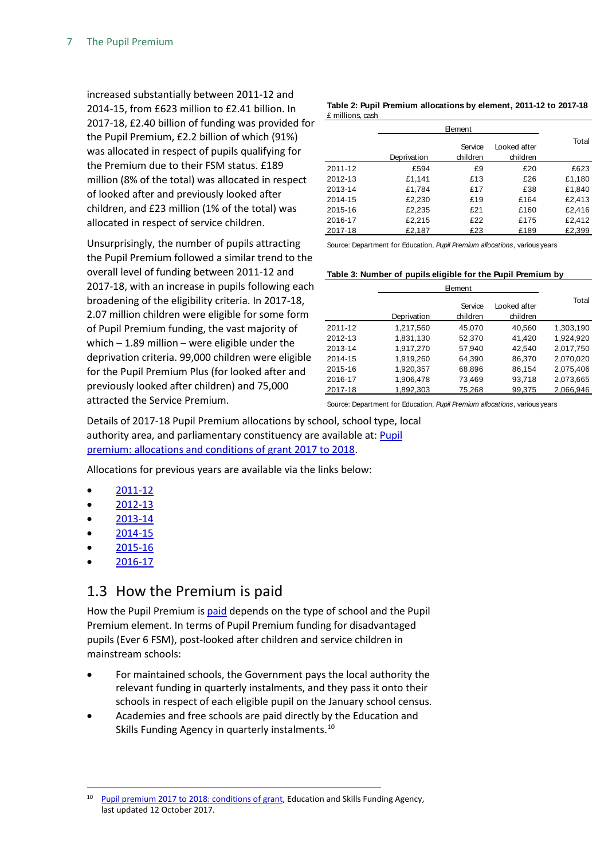increased substantially between 2011-12 and 2014-15, from £623 million to £2.41 billion. In 2017-18, £2.40 billion of funding was provided for the Pupil Premium, £2.2 billion of which (91%) was allocated in respect of pupils qualifying for the Premium due to their FSM status. £189 million (8% of the total) was allocated in respect of looked after and previously looked after children, and £23 million (1% of the total) was allocated in respect of service children.

Unsurprisingly, the number of pupils attracting the Pupil Premium followed a similar trend to the overall level of funding between 2011-12 and 2017-18, with an increase in pupils following each broadening of the eligibility criteria. In 2017-18, 2.07 million children were eligible for some form of Pupil Premium funding, the vast majority of which  $-$  1.89 million  $-$  were eligible under the deprivation criteria. 99,000 children were eligible for the Pupil Premium Plus (for looked after and previously looked after children) and 75,000 attracted the Service Premium.

**Table 2: Pupil Premium allocations by element, 2011-12 to 2017-18** £ millions, cash

|         | Deprivation | Service<br>children | Looked after<br>children | Total  |
|---------|-------------|---------------------|--------------------------|--------|
| 2011-12 | £594        | £9                  | £20                      | £623   |
| 2012-13 | £1,141      | £13                 | £26                      | £1,180 |
| 2013-14 | £1,784      | £17                 | £38                      | £1,840 |
| 2014-15 | £2,230      | £19                 | £164                     | £2,413 |
| 2015-16 | £2,235      | £21                 | £160                     | £2,416 |
| 2016-17 | £2,215      | £22                 | £175                     | £2,412 |
| 2017-18 | £2,187      | £23                 | £189                     | £2,399 |

Source: Department for Education, *Pupil Premium allocations*, various years

#### **Table 3: Number of pupils eligible for the Pupil Premium by**

|         | Deprivation | Service<br>children | Looked after<br>children | Total     |
|---------|-------------|---------------------|--------------------------|-----------|
| 2011-12 | 1,217,560   | 45,070              | 40,560                   | 1,303,190 |
| 2012-13 | 1,831,130   | 52,370              | 41,420                   | 1,924,920 |
| 2013-14 | 1,917,270   | 57,940              | 42,540                   | 2,017,750 |
| 2014-15 | 1,919,260   | 64,390              | 86,370                   | 2,070,020 |
| 2015-16 | 1,920,357   | 68,896              | 86,154                   | 2,075,406 |
| 2016-17 | 1,906,478   | 73,469              | 93,718                   | 2,073,665 |
| 2017-18 | 1,892,303   | 75,268              | 99,375                   | 2,066,946 |

Source: Department for Education, *Pupil Premium allocations*, various years

Details of 2017-18 Pupil Premium allocations by school, school type, local authority area, and parliamentary constituency are available at: [Pupil](https://www.gov.uk/government/publications/pupil-premium-conditions-of-grant-2017-to-2018/pupil-premium-conditions-of-grant-2017-to-2018)  [premium: allocations and conditions of grant 2017 to 2018.](https://www.gov.uk/government/publications/pupil-premium-conditions-of-grant-2017-to-2018/pupil-premium-conditions-of-grant-2017-to-2018)

Allocations for previous years are available via the links below:

- [2011-12](http://webarchive.nationalarchives.gov.uk/20120109202126/http:/media.education.gov.uk/assets/files/xls/p/pupil%20premium%202011-12%20national%20local%20authority%20and%20parliamentary%20constituency%20tables.xls)
- [2012-13](http://webarchive.nationalarchives.gov.uk/20130108054659/media.education.gov.uk/assets/files/xls/p/pupil%20premium%202012-13%20national%20la%20and%20pc.xls)
- [2013-14](https://www.gov.uk/government/publications/pupil-premium-2013-to-2014-final-allocation-tables)
- [2014-15](https://www.gov.uk/government/publications/pupil-premium-2014-to-2015-final-allocations)
- [2015-16](https://www.gov.uk/government/publications/pupil-premium-2015-to-2016-allocations)
- [2016-17](https://www.gov.uk/government/publications/pupil-premium-conditions-of-grant-2016-to-2017)

#### <span id="page-6-0"></span>1.3 How the Premium is paid

How the Pupil Premium is [paid](https://www.gov.uk/guidance/pupil-premium-information-for-schools-and-alternative-provision-settings#payments) depends on the type of school and the Pupil Premium element. In terms of Pupil Premium funding for disadvantaged pupils (Ever 6 FSM), post-looked after children and service children in mainstream schools:

- For maintained schools, the Government pays the local authority the relevant funding in quarterly instalments, and they pass it onto their schools in respect of each eligible pupil on the January school census.
- Academies and free schools are paid directly by the Education and Skills Funding Agency in quarterly instalments.<sup>[10](#page-6-1)</sup>

<span id="page-6-1"></span><sup>&</sup>lt;sup>10</sup> [Pupil premium 2017 to 2018: conditions of grant,](https://www.gov.uk/government/publications/pupil-premium-conditions-of-grant-2017-to-2018/pupil-premium-conditions-of-grant-2017-to-2018) Education and Skills Funding Agency, last updated 12 October 2017.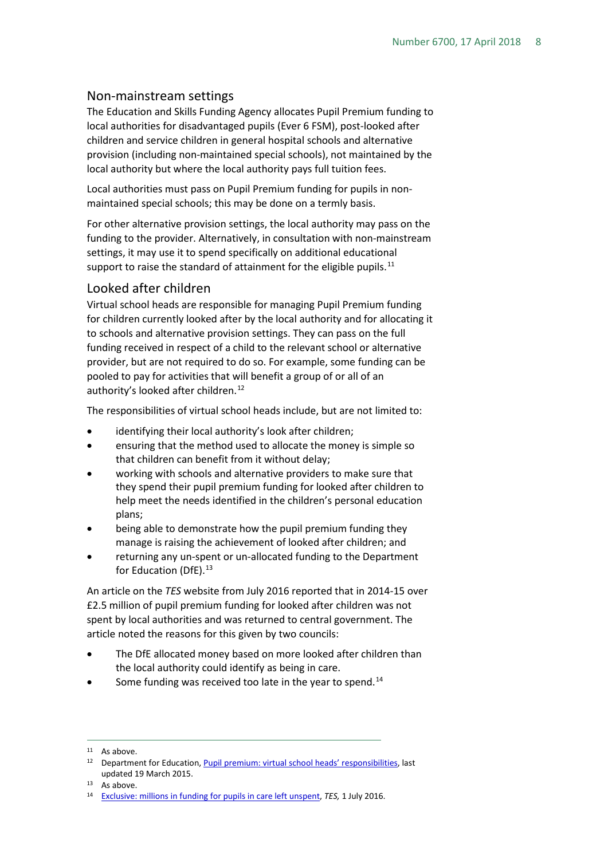#### <span id="page-7-0"></span>Non-mainstream settings

The Education and Skills Funding Agency allocates Pupil Premium funding to local authorities for disadvantaged pupils (Ever 6 FSM), post-looked after children and service children in general hospital schools and alternative provision (including non-maintained special schools), not maintained by the local authority but where the local authority pays full tuition fees.

Local authorities must pass on Pupil Premium funding for pupils in nonmaintained special schools; this may be done on a termly basis.

For other alternative provision settings, the local authority may pass on the funding to the provider. Alternatively, in consultation with non-mainstream settings, it may use it to spend specifically on additional educational support to raise the standard of attainment for the eligible pupils. $^{11}$  $^{11}$  $^{11}$ 

#### <span id="page-7-1"></span>Looked after children

Virtual school heads are responsible for managing Pupil Premium funding for children currently looked after by the local authority and for allocating it to schools and alternative provision settings. They can pass on the full funding received in respect of a child to the relevant school or alternative provider, but are not required to do so. For example, some funding can be pooled to pay for activities that will benefit a group of or all of an authority's looked after children.<sup>[12](#page-7-3)</sup>

The responsibilities of virtual school heads include, but are not limited to:

- identifying their local authority's look after children;
- ensuring that the method used to allocate the money is simple so that children can benefit from it without delay;
- working with schools and alternative providers to make sure that they spend their pupil premium funding for looked after children to help meet the needs identified in the children's personal education plans;
- being able to demonstrate how the pupil premium funding they manage is raising the achievement of looked after children; and
- returning any un-spent or un-allocated funding to the Department for Education (DfE). [13](#page-7-4)

An article on the *TES* website from July 2016 reported that in 2014-15 over £2.5 million of pupil premium funding for looked after children was not spent by local authorities and was returned to central government. The article noted the reasons for this given by two councils:

- The DfE allocated money based on more looked after children than the local authority could identify as being in care.
- Some funding was received too late in the year to spend.<sup>[14](#page-7-5)</sup>

<span id="page-7-2"></span><sup>&</sup>lt;sup>11</sup> As above.

<span id="page-7-3"></span><sup>&</sup>lt;sup>12</sup> Department for Education[, Pupil premium: virtual school heads' responsibilities,](https://www.gov.uk/guidance/pupil-premium-virtual-school-heads-responsibilities) last updated 19 March 2015.

<span id="page-7-5"></span><span id="page-7-4"></span>

<sup>13</sup> As above.<br><sup>14</sup> [Exclusive: millions in funding for pupils in care left unspent,](https://www.tes.com/news/school-news/breaking-news/exclusive-millions-funding-pupils-care-left-unspent) *TES*, 1 July 2016.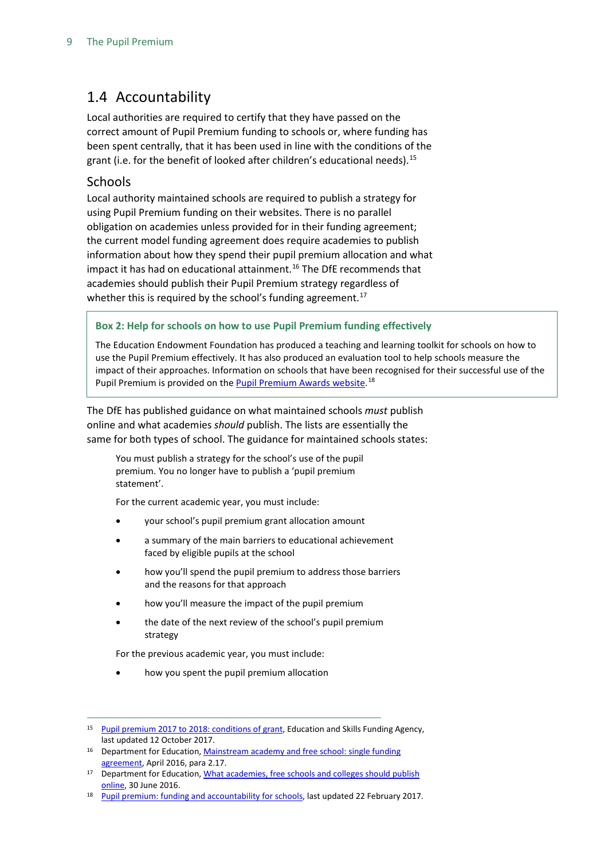### <span id="page-8-0"></span>1.4 Accountability

Local authorities are required to certify that they have passed on the correct amount of Pupil Premium funding to schools or, where funding has been spent centrally, that it has been used in line with the conditions of the grant (i.e. for the benefit of looked after children's educational needs).<sup>[15](#page-8-2)</sup>

#### <span id="page-8-1"></span>Schools

Local authority maintained schools are required to publish a strategy for using Pupil Premium funding on their websites. There is no parallel obligation on academies unless provided for in their funding agreement; the current model funding agreement does require academies to publish information about how they spend their pupil premium allocation and what impact it has had on educational attainment.<sup>[16](#page-8-3)</sup> The DfE recommends that academies should publish their Pupil Premium strategy regardless of whether this is required by the school's funding agreement.<sup>17</sup>

#### **Box 2: Help for schools on how to use Pupil Premium funding effectively**

The Education Endowment Foundation has produced a teaching and learning toolkit for schools on how to use the Pupil Premium effectively. It has also produced an evaluation tool to help schools measure the impact of their approaches. Information on schools that have been recognised for their successful use of the Pupil Premium is provided on the <u>Pupil Premium Awards website</u>.<sup>[18](#page-8-5)</sup>

The DfE has published guidance on what maintained schools *must* publish online and what academies *should* publish. The lists are essentially the same for both types of school. The guidance for maintained schools states:

You must publish a strategy for the school's use of the pupil premium. You no longer have to publish a 'pupil premium statement'.

For the current academic year, you must include:

- your school's pupil premium grant allocation amount
- a summary of the main barriers to educational achievement faced by eligible pupils at the school
- how you'll spend the pupil premium to address those barriers and the reasons for that approach
- how you'll measure the impact of the pupil premium
- the date of the next review of the school's pupil premium strategy

For the previous academic year, you must include:

• how you spent the pupil premium allocation

<span id="page-8-2"></span> <sup>15</sup> [Pupil premium 2017 to 2018: conditions of grant,](https://www.gov.uk/government/publications/pupil-premium-conditions-of-grant-2017-to-2018/pupil-premium-conditions-of-grant-2017-to-2018) Education and Skills Funding Agency, last updated 12 October 2017.

<span id="page-8-3"></span><sup>&</sup>lt;sup>16</sup> Department for Education, Mainstream academy and free school: single funding [agreement,](https://www.gov.uk/government/publications/academy-and-free-school-funding-agreements-single-academy-trust) April 2016, para 2.17.

<span id="page-8-4"></span>Department for Education, What academies, free schools and colleges should publish [online,](https://www.gov.uk/guidance/what-academies-free-schools-and-colleges-should-publish-online#pupil-premium) 30 June 2016.

<span id="page-8-5"></span>[Pupil premium: funding and accountability for schools,](https://www.gov.uk/guidance/pupil-premium-information-for-schools-and-alternative-provision-settings#accountability) last updated 22 February 2017.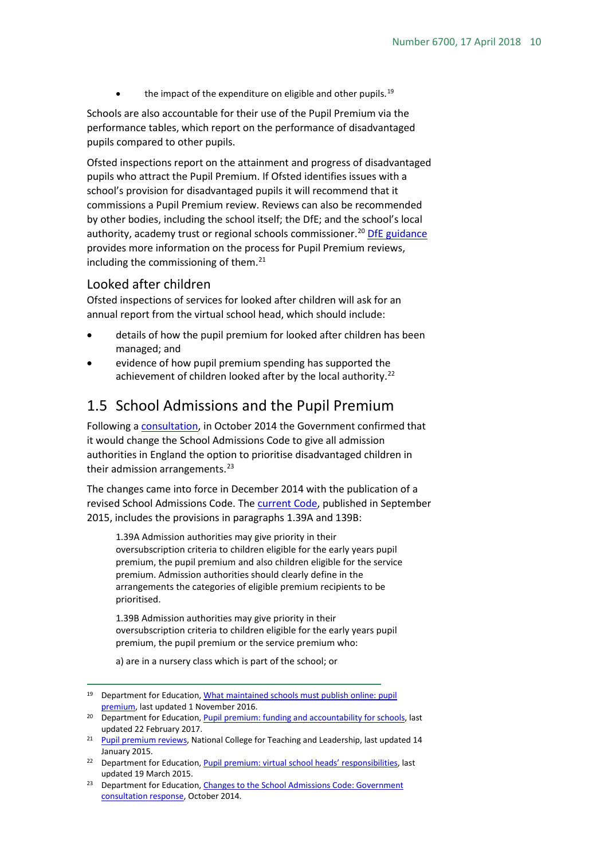the impact of the expenditure on eligible and other pupils.<sup>[19](#page-9-2)</sup>

Schools are also accountable for their use of the Pupil Premium via the performance tables, which report on the performance of disadvantaged pupils compared to other pupils.

Ofsted inspections report on the attainment and progress of disadvantaged pupils who attract the Pupil Premium. If Ofsted identifies issues with a school's provision for disadvantaged pupils it will recommend that it commissions a Pupil Premium review. Reviews can also be recommended by other bodies, including the school itself; the DfE; and the school's local authority, academy trust or regional schools commissioner.<sup>[20](#page-9-3)</sup> [DfE guidance](https://www.gov.uk/guidance/pupil-premium-reviews) provides more information on the process for Pupil Premium reviews, including the commissioning of them.<sup>21</sup>

#### <span id="page-9-0"></span>Looked after children

Ofsted inspections of services for looked after children will ask for an annual report from the virtual school head, which should include:

- details of how the pupil premium for looked after children has been managed; and
- evidence of how pupil premium spending has supported the achievement of children looked after by the local authority.<sup>[22](#page-9-5)</sup>

#### <span id="page-9-1"></span>1.5 School Admissions and the Pupil Premium

Following a [consultation,](https://www.gov.uk/government/uploads/system/uploads/attachment_data/file/333419/Changes_to_the_School_Admissions_Code_Consultation_Document.pdf) in October 2014 the Government confirmed that it would change the School Admissions Code to give all admission authorities in England the option to prioritise disadvantaged children in their admission arrangements.<sup>[23](#page-9-6)</sup>

The changes came into force in December 2014 with the publication of a revised School Admissions Code. The [current Code,](https://www.gov.uk/government/uploads/system/uploads/attachment_data/file/389388/School_Admissions_Code_2014_-_19_Dec.pdf) published in September 2015, includes the provisions in paragraphs 1.39A and 139B:

1.39A Admission authorities may give priority in their oversubscription criteria to children eligible for the early years pupil premium, the pupil premium and also children eligible for the service premium. Admission authorities should clearly define in the arrangements the categories of eligible premium recipients to be prioritised.

1.39B Admission authorities may give priority in their oversubscription criteria to children eligible for the early years pupil premium, the pupil premium or the service premium who:

a) are in a nursery class which is part of the school; or

<span id="page-9-2"></span> <sup>19</sup> Department for Education[, What maintained schools must publish](https://www.gov.uk/guidance/what-maintained-schools-must-publish-online#pupil-premium) online: pupil [premium,](https://www.gov.uk/guidance/what-maintained-schools-must-publish-online#pupil-premium) last updated 1 November 2016.

<span id="page-9-3"></span><sup>&</sup>lt;sup>20</sup> Department for Education[, Pupil premium: funding and accountability for schools,](https://www.gov.uk/guidance/pupil-premium-information-for-schools-and-alternative-provision-settings) last updated 22 February 2017.

<span id="page-9-4"></span><sup>&</sup>lt;sup>21</sup> [Pupil premium reviews,](https://www.gov.uk/guidance/pupil-premium-reviews) National College for Teaching and Leadership, last updated 14 January 2015.

<span id="page-9-5"></span><sup>&</sup>lt;sup>22</sup> Department for Education, *Pupil premium: virtual school heads' responsibilities*, last updated 19 March 2015.

<span id="page-9-6"></span><sup>&</sup>lt;sup>23</sup> Department for Education, Changes to the School Admissions Code: Government [consultation response,](https://www.gov.uk/government/uploads/system/uploads/attachment_data/file/368917/Revised_Admissions_Code_consultation_government_response.pdf) October 2014.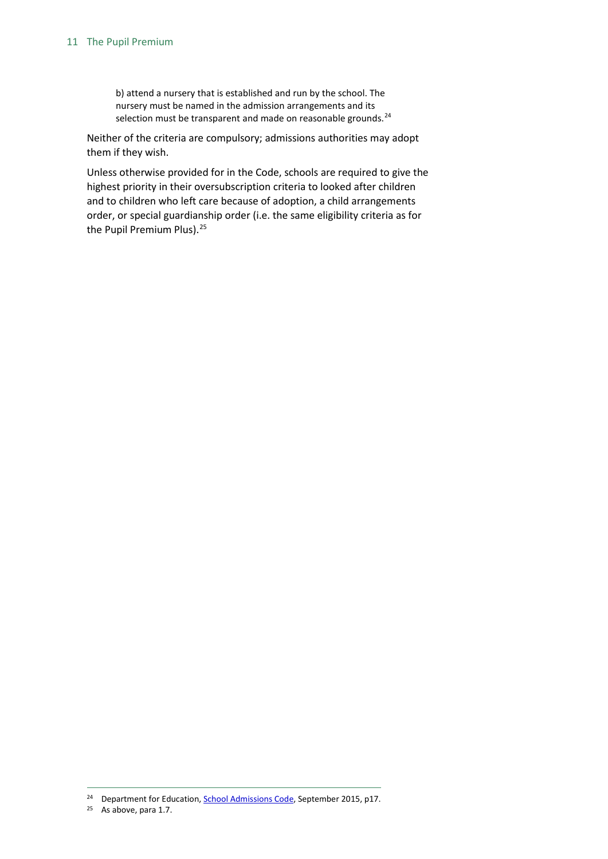b) attend a nursery that is established and run by the school. The nursery must be named in the admission arrangements and its selection must be transparent and made on reasonable grounds.<sup>[24](#page-10-0)</sup>

Neither of the criteria are compulsory; admissions authorities may adopt them if they wish.

Unless otherwise provided for in the Code, schools are required to give the highest priority in their oversubscription criteria to looked after children and to children who left care because of adoption, a child arrangements order, or special guardianship order (i.e. the same eligibility criteria as for the Pupil Premium Plus).<sup>[25](#page-10-1)</sup>

<span id="page-10-0"></span><sup>&</sup>lt;sup>24</sup> Department for Education, **School Admissions Code**, September 2015, p17.

<span id="page-10-1"></span><sup>25</sup> As above, para 1.7.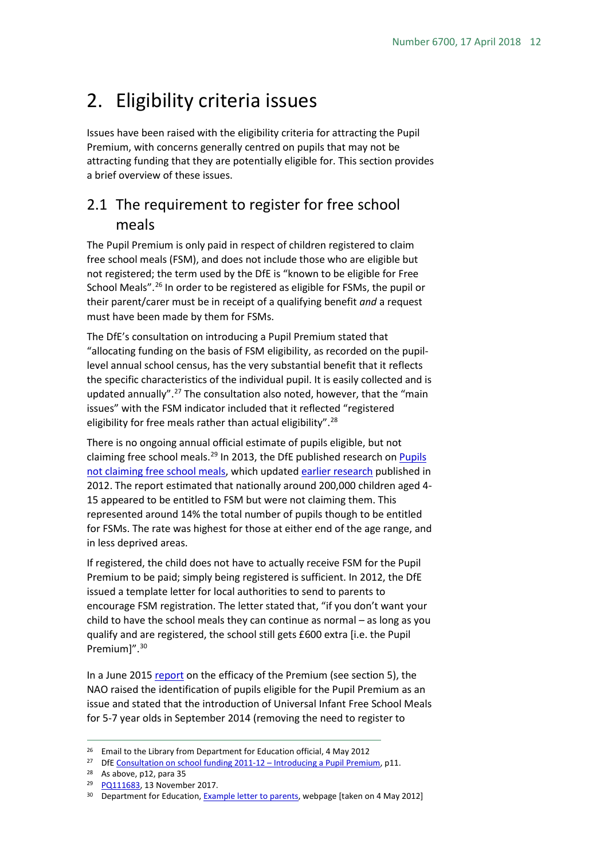## <span id="page-11-0"></span>2. Eligibility criteria issues

Issues have been raised with the eligibility criteria for attracting the Pupil Premium, with concerns generally centred on pupils that may not be attracting funding that they are potentially eligible for. This section provides a brief overview of these issues.

### <span id="page-11-1"></span>2.1 The requirement to register for free school meals

The Pupil Premium is only paid in respect of children registered to claim free school meals (FSM), and does not include those who are eligible but not registered; the term used by the DfE is "known to be eligible for Free School Meals".[26](#page-11-2) In order to be registered as eligible for FSMs, the pupil or their parent/carer must be in receipt of a qualifying benefit *and* a request must have been made by them for FSMs.

The DfE's consultation on introducing a Pupil Premium stated that "allocating funding on the basis of FSM eligibility, as recorded on the pupillevel annual school census, has the very substantial benefit that it reflects the specific characteristics of the individual pupil. It is easily collected and is updated annually".<sup>[27](#page-11-3)</sup> The consultation also noted, however, that the "main issues" with the FSM indicator included that it reflected "registered eligibility for free meals rather than actual eligibility".<sup>[28](#page-11-4)</sup>

There is no ongoing annual official estimate of pupils eligible, but not claiming free school meals.<sup>29</sup> In 2013, the DfE published research on Pupils [not claiming free school meals,](https://www.gov.uk/government/uploads/system/uploads/attachment_data/file/183380/DFE-RR235.pdf) which updated [earlier research](https://www.gov.uk/government/publications/pupils-not-claiming-free-school-meals) published in 2012. The report estimated that nationally around 200,000 children aged 4- 15 appeared to be entitled to FSM but were not claiming them. This represented around 14% the total number of pupils though to be entitled for FSMs. The rate was highest for those at either end of the age range, and in less deprived areas.

If registered, the child does not have to actually receive FSM for the Pupil Premium to be paid; simply being registered is sufficient. In 2012, the DfE issued a template letter for local authorities to send to parents to encourage FSM registration. The letter stated that, "if you don't want your child to have the school meals they can continue as normal – as long as you qualify and are registered, the school still gets £600 extra [i.e. the Pupil Premium]".<sup>[30](#page-11-6)</sup>

In a June 201[5 report](http://www.nao.org.uk/wp-content/uploads/2015/06/Funding-for-disadvantaged-pupils.pdf) on the efficacy of the Premium (see section 5), the NAO raised the identification of pupils eligible for the Pupil Premium as an issue and stated that the introduction of Universal Infant Free School Meals for 5-7 year olds in September 2014 (removing the need to register to

<span id="page-11-2"></span><sup>&</sup>lt;sup>26</sup> Email to the Library from Department for Education official, 4 May 2012

<span id="page-11-3"></span><sup>&</sup>lt;sup>27</sup> DfE [Consultation on school funding 2011-12 –](http://www.education.gov.uk/consultations/downloadableDocs/School%20Funding%20Consultation%20Document.pdf) Introducing a Pupil Premium, p11.

<span id="page-11-4"></span><sup>28</sup> As above, p12, para 35

<span id="page-11-5"></span><sup>&</sup>lt;sup>29</sup> [PQ111683,](http://www.parliament.uk/written-questions-answers-statements/written-question/commons/2017-11-06/111683) 13 November 2017.

<span id="page-11-6"></span><sup>&</sup>lt;sup>30</sup> Department for Education[, Example letter to parents,](http://media.education.gov.uk/assets/files/doc/f/fsm%20example%20parent%20letter.doc) webpage [taken on 4 May 2012]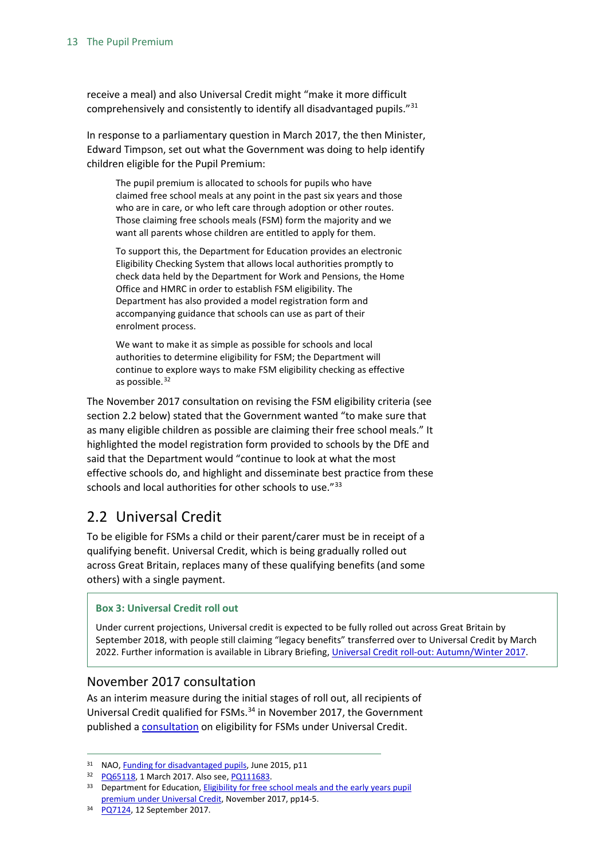receive a meal) and also Universal Credit might "make it more difficult comprehensively and consistently to identify all disadvantaged pupils.["31](#page-12-2)

In response to a parliamentary question in March 2017, the then Minister, Edward Timpson, set out what the Government was doing to help identify children eligible for the Pupil Premium:

The pupil premium is allocated to schools for pupils who have claimed free school meals at any point in the past six years and those who are in care, or who left care through adoption or other routes. Those claiming free schools meals (FSM) form the majority and we want all parents whose children are entitled to apply for them.

To support this, the Department for Education provides an electronic Eligibility Checking System that allows local authorities promptly to check data held by the Department for Work and Pensions, the Home Office and HMRC in order to establish FSM eligibility. The Department has also provided a model registration form and accompanying guidance that schools can use as part of their enrolment process.

We want to make it as simple as possible for schools and local authorities to determine eligibility for FSM; the Department will continue to explore ways to make FSM eligibility checking as effective as possible.<sup>[32](#page-12-3)</sup>

The November 2017 consultation on revising the FSM eligibility criteria (see section 2.2 below) stated that the Government wanted "to make sure that as many eligible children as possible are claiming their free school meals." It highlighted the model registration form provided to schools by the DfE and said that the Department would "continue to look at what the most effective schools do, and highlight and disseminate best practice from these schools and local authorities for other schools to use."<sup>[33](#page-12-4)</sup>

### <span id="page-12-0"></span>2.2 Universal Credit

To be eligible for FSMs a child or their parent/carer must be in receipt of a qualifying benefit. Universal Credit, which is being gradually rolled out across Great Britain, replaces many of these qualifying benefits (and some others) with a single payment.

#### **Box 3: Universal Credit roll out**

Under current projections, Universal credit is expected to be fully rolled out across Great Britain by September 2018, with people still claiming "legacy benefits" transferred over to Universal Credit by March 2022. Further information is available in Library Briefing, [Universal Credit roll-out: Autumn/Winter 2017.](http://researchbriefings.parliament.uk/ResearchBriefing/Summary/CBP-8096)

#### <span id="page-12-1"></span>November 2017 consultation

As an interim measure during the initial stages of roll out, all recipients of Universal Credit qualified for FSMs.<sup>[34](#page-12-5)</sup> in November 2017, the Government published a [consultation](https://consult.education.gov.uk/healthy-pupil-unit/fsm/) on eligibility for FSMs under Universal Credit.

<span id="page-12-5"></span><sup>34</sup> [PQ7124,](http://www.parliament.uk/written-questions-answers-statements/written-question/commons/2017-09-04/7124) 12 September 2017.

<span id="page-12-2"></span><sup>&</sup>lt;sup>31</sup> NAO[, Funding for disadvantaged pupils,](http://www.nao.org.uk/wp-content/uploads/2015/06/Funding-for-disadvantaged-pupils.pdf) June 2015, p11

<span id="page-12-3"></span><sup>32</sup> [PQ65118,](http://www.parliament.uk/written-questions-answers-statements/written-question/commons/2017-02-22/65118) 1 March 2017. Also see[, PQ111683.](http://www.parliament.uk/written-questions-answers-statements/written-question/commons/2017-11-06/111683)

<span id="page-12-4"></span><sup>&</sup>lt;sup>33</sup> Department for Education, Eligibility for free school meals and the early years pupil [premium under Universal Credit,](https://consult.education.gov.uk/healthy-pupil-unit/fsm/supporting_documents/Consultation%20%20Free%20school%20meals%20and%20EYPP%20under%20Universal%20Credit.pdf) November 2017, pp14-5.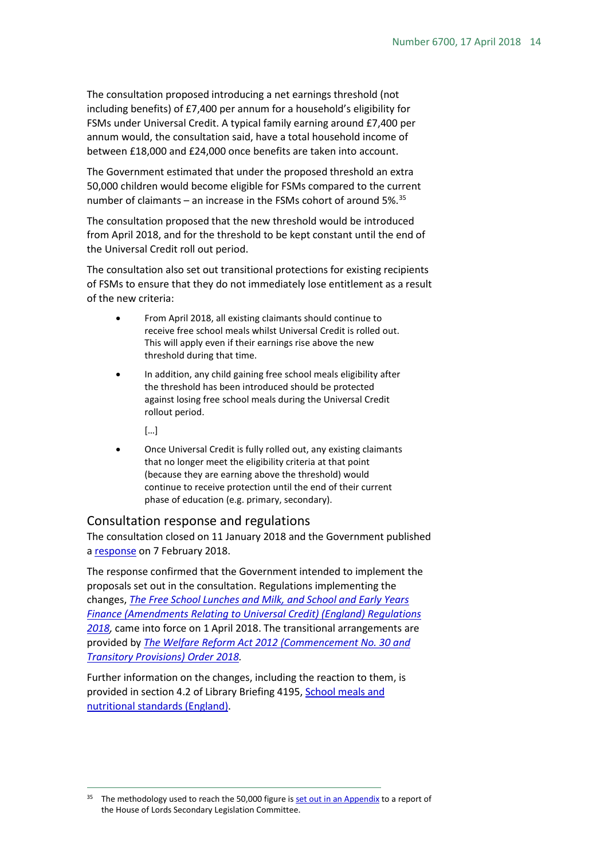The consultation proposed introducing a net earnings threshold (not including benefits) of £7,400 per annum for a household's eligibility for FSMs under Universal Credit. A typical family earning around £7,400 per annum would, the consultation said, have a total household income of between £18,000 and £24,000 once benefits are taken into account.

The Government estimated that under the proposed threshold an extra 50,000 children would become eligible for FSMs compared to the current number of claimants – an increase in the FSMs cohort of around 5%.<sup>[35](#page-13-1)</sup>

The consultation proposed that the new threshold would be introduced from April 2018, and for the threshold to be kept constant until the end of the Universal Credit roll out period.

The consultation also set out transitional protections for existing recipients of FSMs to ensure that they do not immediately lose entitlement as a result of the new criteria:

- From April 2018, all existing claimants should continue to receive free school meals whilst Universal Credit is rolled out. This will apply even if their earnings rise above the new threshold during that time.
- In addition, any child gaining free school meals eligibility after the threshold has been introduced should be protected against losing free school meals during the Universal Credit rollout period.
	- […]
- Once Universal Credit is fully rolled out, any existing claimants that no longer meet the eligibility criteria at that point (because they are earning above the threshold) would continue to receive protection until the end of their current phase of education (e.g. primary, secondary).

#### <span id="page-13-0"></span>Consultation response and regulations

The consultation closed on 11 January 2018 and the Government published a [response](https://www.gov.uk/government/consultations/eligibility-for-free-school-meals-and-the-early-years-pupil-premium-under-universal-credit) on 7 February 2018.

The response confirmed that the Government intended to implement the proposals set out in the consultation. Regulations implementing the changes, *[The Free School Lunches and Milk, and School and Early Years](https://www.legislation.gov.uk/uksi/2018/148/introduction/made)  [Finance \(Amendments Relating to Universal Credit\) \(England\) Regulations](https://www.legislation.gov.uk/uksi/2018/148/introduction/made)  [2018,](https://www.legislation.gov.uk/uksi/2018/148/introduction/made)* came into force on 1 April 2018. The transitional arrangements are provided by *[The Welfare Reform Act 2012 \(Commencement No. 30 and](http://www.legislation.gov.uk/uksi/2018/145/contents/made)  [Transitory Provisions\) Order 2018.](http://www.legislation.gov.uk/uksi/2018/145/contents/made)*

Further information on the changes, including the reaction to them, is provided in section 4.2 of Library Briefing 4195, School meals and [nutritional standards \(England\).](http://researchbriefings.parliament.uk/ResearchBriefing/Summary/SN04195#fullreport)

<span id="page-13-1"></span><sup>&</sup>lt;sup>35</sup> The methodology used to reach the 50,000 figure is [set out in an Appendix](https://publications.parliament.uk/pa/ld201719/ldselect/ldsecleg/82/8206.htm) to a report of the House of Lords Secondary Legislation Committee.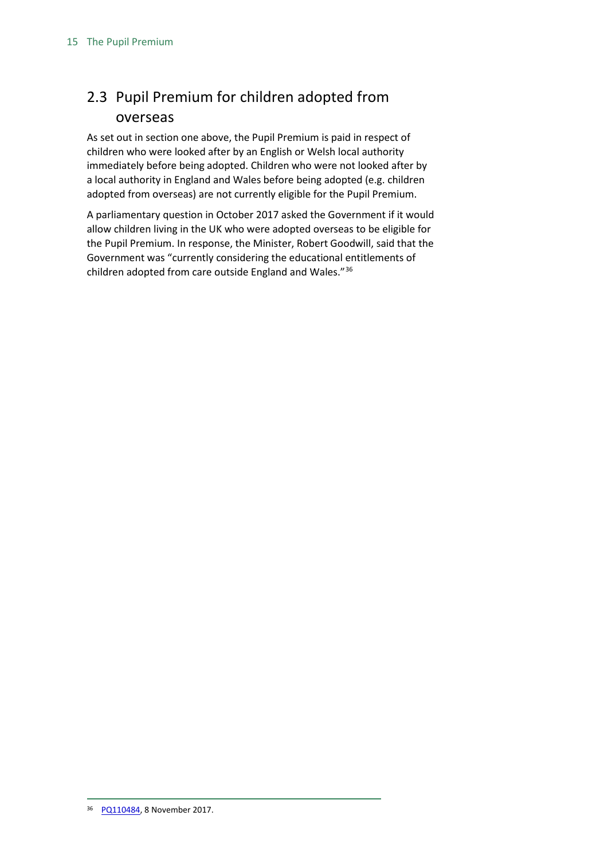## <span id="page-14-0"></span>2.3 Pupil Premium for children adopted from overseas

As set out in section one above, the Pupil Premium is paid in respect of children who were looked after by an English or Welsh local authority immediately before being adopted. Children who were not looked after by a local authority in England and Wales before being adopted (e.g. children adopted from overseas) are not currently eligible for the Pupil Premium.

<span id="page-14-1"></span>A parliamentary question in October 2017 asked the Government if it would allow children living in the UK who were adopted overseas to be eligible for the Pupil Premium. In response, the Minister, Robert Goodwill, said that the Government was "currently considering the educational entitlements of children adopted from care outside England and Wales."[36](#page-14-1)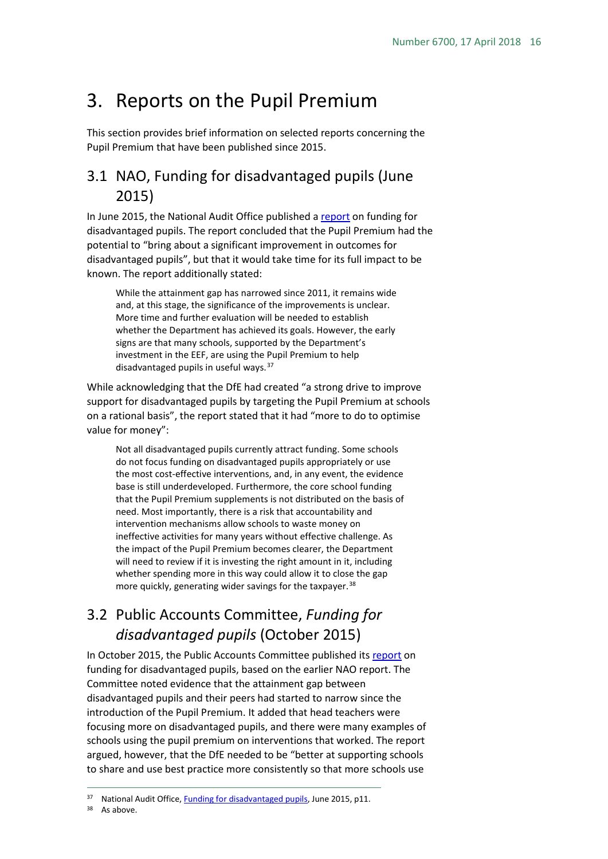## <span id="page-15-0"></span>3. Reports on the Pupil Premium

This section provides brief information on selected reports concerning the Pupil Premium that have been published since 2015.

### <span id="page-15-1"></span>3.1 NAO, Funding for disadvantaged pupils (June 2015)

In June 2015, the National Audit Office published a [report](http://www.nao.org.uk/wp-content/uploads/2015/06/Funding-for-disadvantaged-pupils.pdf) on funding for disadvantaged pupils. The report concluded that the Pupil Premium had the potential to "bring about a significant improvement in outcomes for disadvantaged pupils", but that it would take time for its full impact to be known. The report additionally stated:

While the attainment gap has narrowed since 2011, it remains wide and, at this stage, the significance of the improvements is unclear. More time and further evaluation will be needed to establish whether the Department has achieved its goals. However, the early signs are that many schools, supported by the Department's investment in the EEF, are using the Pupil Premium to help disadvantaged pupils in useful ways.<sup>[37](#page-15-3)</sup>

While acknowledging that the DfE had created "a strong drive to improve support for disadvantaged pupils by targeting the Pupil Premium at schools on a rational basis", the report stated that it had "more to do to optimise value for money":

Not all disadvantaged pupils currently attract funding. Some schools do not focus funding on disadvantaged pupils appropriately or use the most cost-effective interventions, and, in any event, the evidence base is still underdeveloped. Furthermore, the core school funding that the Pupil Premium supplements is not distributed on the basis of need. Most importantly, there is a risk that accountability and intervention mechanisms allow schools to waste money on ineffective activities for many years without effective challenge. As the impact of the Pupil Premium becomes clearer, the Department will need to review if it is investing the right amount in it, including whether spending more in this way could allow it to close the gap more quickly, generating wider savings for the taxpayer.<sup>[38](#page-15-4)</sup>

## <span id="page-15-2"></span>3.2 Public Accounts Committee, *Funding for disadvantaged pupils* (October 2015)

In October 2015, the Public Accounts Committee published it[s report](https://publications.parliament.uk/pa/cm201516/cmselect/cmpubacc/327/327.pdf) on funding for disadvantaged pupils, based on the earlier NAO report. The Committee noted evidence that the attainment gap between disadvantaged pupils and their peers had started to narrow since the introduction of the Pupil Premium. It added that head teachers were focusing more on disadvantaged pupils, and there were many examples of schools using the pupil premium on interventions that worked. The report argued, however, that the DfE needed to be "better at supporting schools to share and use best practice more consistently so that more schools use

<span id="page-15-4"></span><span id="page-15-3"></span><sup>37</sup> National Audit Office[, Funding for disadvantaged pupils,](http://www.nao.org.uk/wp-content/uploads/2015/06/Funding-for-disadvantaged-pupils.pdf) June 2015, p11.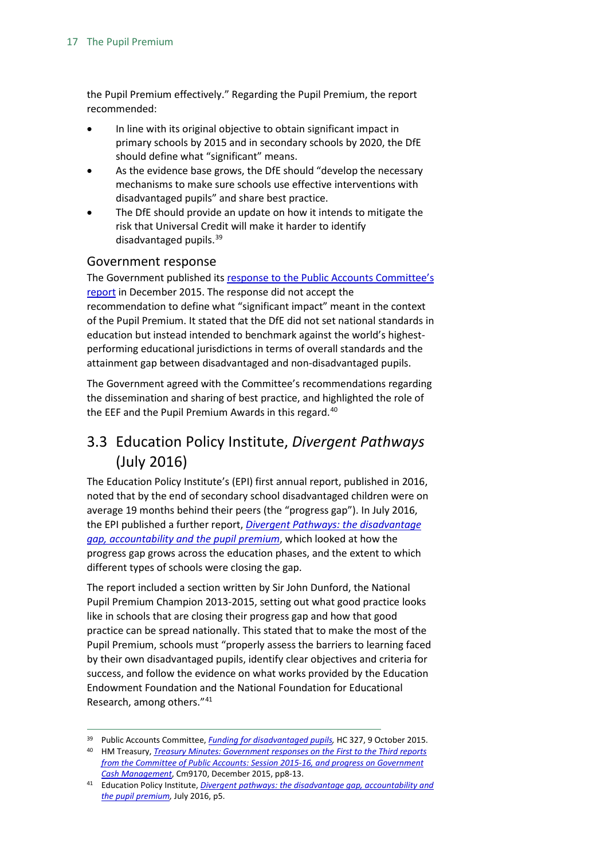the Pupil Premium effectively." Regarding the Pupil Premium, the report recommended:

- In line with its original objective to obtain significant impact in primary schools by 2015 and in secondary schools by 2020, the DfE should define what "significant" means.
- As the evidence base grows, the DfE should "develop the necessary mechanisms to make sure schools use effective interventions with disadvantaged pupils" and share best practice.
- The DfE should provide an update on how it intends to mitigate the risk that Universal Credit will make it harder to identify disadvantaged pupils.<sup>[39](#page-16-2)</sup>

#### <span id="page-16-0"></span>Government response

The Government published its [response to the Public Accounts Committee's](https://www.gov.uk/government/uploads/system/uploads/attachment_data/file/486482/52958_CM_9170_Treasury_Minutes_Accessible.pdf)  [report](https://www.gov.uk/government/uploads/system/uploads/attachment_data/file/486482/52958_CM_9170_Treasury_Minutes_Accessible.pdf) in December 2015. The response did not accept the recommendation to define what "significant impact" meant in the context of the Pupil Premium. It stated that the DfE did not set national standards in education but instead intended to benchmark against the world's highestperforming educational jurisdictions in terms of overall standards and the attainment gap between disadvantaged and non-disadvantaged pupils.

The Government agreed with the Committee's recommendations regarding the dissemination and sharing of best practice, and highlighted the role of the EEF and the Pupil Premium Awards in this regard.<sup>[40](#page-16-3)</sup>

## <span id="page-16-1"></span>3.3 Education Policy Institute, *Divergent Pathways*  (July 2016)

The Education Policy Institute's (EPI) first annual report, published in 2016, noted that by the end of secondary school disadvantaged children were on average 19 months behind their peers (the "progress gap"). In July 2016, the EPI published a further report, *[Divergent Pathways: the disadvantage](https://epi.org.uk/report/divergent-pathways-disadvantage-gap-accountability-pupil-premium/)  [gap, accountability and the pupil premium](https://epi.org.uk/report/divergent-pathways-disadvantage-gap-accountability-pupil-premium/)*, which looked at how the progress gap grows across the education phases, and the extent to which different types of schools were closing the gap.

The report included a section written by Sir John Dunford, the National Pupil Premium Champion 2013-2015, setting out what good practice looks like in schools that are closing their progress gap and how that good practice can be spread nationally. This stated that to make the most of the Pupil Premium, schools must "properly assess the barriers to learning faced by their own disadvantaged pupils, identify clear objectives and criteria for success, and follow the evidence on what works provided by the Education Endowment Foundation and the National Foundation for Educational Research, among others."[41](#page-16-4)

<span id="page-16-2"></span> <sup>39</sup> Public Accounts Committee, *[Funding for disadvantaged pupils,](https://publications.parliament.uk/pa/cm201516/cmselect/cmpubacc/327/327.pdf)* HC 327, 9 October 2015.

<span id="page-16-3"></span><sup>40</sup> HM Treasury, *[Treasury Minutes: Government responses on the First to the Third reports](https://www.gov.uk/government/uploads/system/uploads/attachment_data/file/486482/52958_CM_9170_Treasury_Minutes_Accessible.pdf)  [from the Committee of Public Accounts: Session 2015-16, and progress on Government](https://www.gov.uk/government/uploads/system/uploads/attachment_data/file/486482/52958_CM_9170_Treasury_Minutes_Accessible.pdf)  [Cash Management](https://www.gov.uk/government/uploads/system/uploads/attachment_data/file/486482/52958_CM_9170_Treasury_Minutes_Accessible.pdf)*, Cm9170, December 2015, pp8-13.

<span id="page-16-4"></span><sup>41</sup> Education Policy Institute, *[Divergent pathways: the disadvantage gap, accountability and](https://epi.org.uk/wp-content/uploads/2016/12/disadvantage-report.pdf)  [the pupil premium,](https://epi.org.uk/wp-content/uploads/2016/12/disadvantage-report.pdf)* July 2016, p5.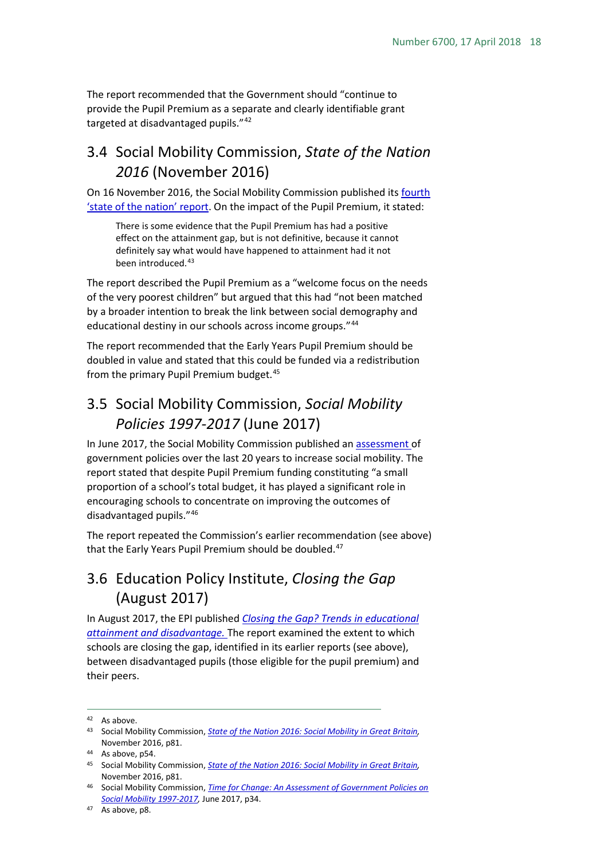The report recommended that the Government should "continue to provide the Pupil Premium as a separate and clearly identifiable grant targeted at disadvantaged pupils."[42](#page-17-3)

## <span id="page-17-0"></span>3.4 Social Mobility Commission, *State of the Nation 2016* (November 2016)

On 16 November 2016, the Social Mobility Commission published its [fourth](https://www.gov.uk/government/uploads/system/uploads/attachment_data/file/569410/Social_Mobility_Commission_2016_REPORT_WEB__1__.pdf)  ['state of the nation' report.](https://www.gov.uk/government/uploads/system/uploads/attachment_data/file/569410/Social_Mobility_Commission_2016_REPORT_WEB__1__.pdf) On the impact of the Pupil Premium, it stated:

There is some evidence that the Pupil Premium has had a positive effect on the attainment gap, but is not definitive, because it cannot definitely say what would have happened to attainment had it not been introduced.<sup>[43](#page-17-4)</sup>

The report described the Pupil Premium as a "welcome focus on the needs of the very poorest children" but argued that this had "not been matched by a broader intention to break the link between social demography and educational destiny in our schools across income groups."<sup>[44](#page-17-5)</sup>

The report recommended that the Early Years Pupil Premium should be doubled in value and stated that this could be funded via a redistribution from the primary Pupil Premium budget.<sup>[45](#page-17-6)</sup>

## <span id="page-17-1"></span>3.5 Social Mobility Commission, *Social Mobility Policies 1997-2017* (June 2017)

In June 2017, the Social Mobility Commission published an [assessment o](https://www.gov.uk/government/uploads/system/uploads/attachment_data/file/622214/Time_for_Change_report_-_An_assessement_of_government_policies_on_social_mobility_1997-2017.pdf)f government policies over the last 20 years to increase social mobility. The report stated that despite Pupil Premium funding constituting "a small proportion of a school's total budget, it has played a significant role in encouraging schools to concentrate on improving the outcomes of disadvantaged pupils."[46](#page-17-7)

The report repeated the Commission's earlier recommendation (see above) that the Early Years Pupil Premium should be doubled.<sup>[47](#page-17-8)</sup>

## <span id="page-17-2"></span>3.6 Education Policy Institute, *Closing the Gap* (August 2017)

In August 2017, the EPI published *[Closing the Gap? Trends in educational](https://epi.org.uk/report/closing-the-gap/) [attainment and disadvantage.](https://epi.org.uk/report/closing-the-gap/)* The report examined the extent to which schools are closing the gap, identified in its earlier reports (see above), between disadvantaged pupils (those eligible for the pupil premium) and their peers.

<span id="page-17-4"></span><span id="page-17-3"></span><sup>42</sup> As above.<br><sup>43</sup> Social Mobility Commission, *[State of the Nation 2016: Social Mobility in Great Britain,](https://www.gov.uk/government/uploads/system/uploads/attachment_data/file/569410/Social_Mobility_Commission_2016_REPORT_WEB__1__.pdf)* November 2016, p81.

<span id="page-17-5"></span><sup>44</sup> As above, p54.

<span id="page-17-6"></span><sup>45</sup> Social Mobility Commission, *[State of the Nation 2016: Social Mobility in Great Britain,](https://www.gov.uk/government/uploads/system/uploads/attachment_data/file/569410/Social_Mobility_Commission_2016_REPORT_WEB__1__.pdf)*  November 2016, p81.

<span id="page-17-7"></span><sup>46</sup> Social Mobility Commission, *[Time for Change: An Assessment of Government Policies on](https://www.gov.uk/government/uploads/system/uploads/attachment_data/file/622214/Time_for_Change_report_-_An_assessement_of_government_policies_on_social_mobility_1997-2017.pdf)  [Social Mobility 1997-2017,](https://www.gov.uk/government/uploads/system/uploads/attachment_data/file/622214/Time_for_Change_report_-_An_assessement_of_government_policies_on_social_mobility_1997-2017.pdf)* June 2017, p34.

<span id="page-17-8"></span><sup>47</sup> As above, p8.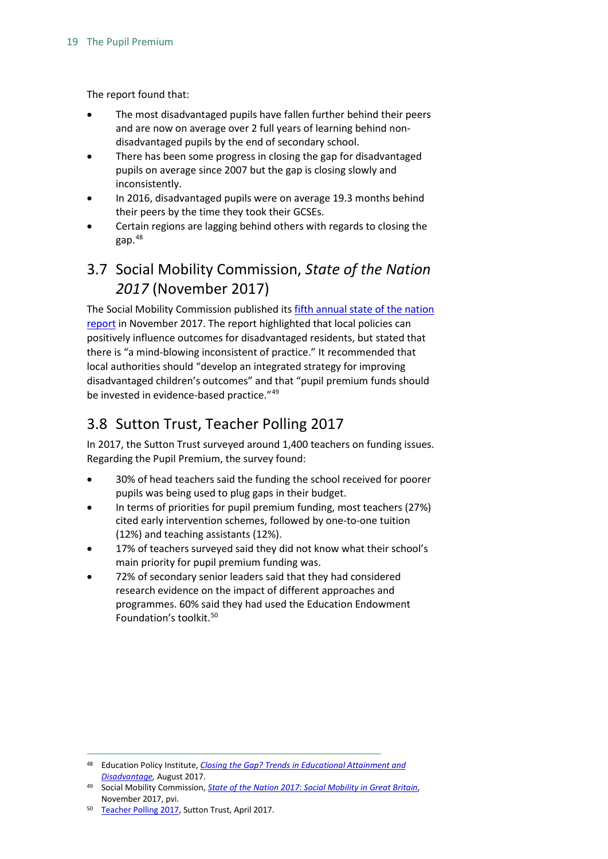The report found that:

- The most disadvantaged pupils have fallen further behind their peers and are now on average over 2 full years of learning behind nondisadvantaged pupils by the end of secondary school.
- There has been some progress in closing the gap for disadvantaged pupils on average since 2007 but the gap is closing slowly and inconsistently.
- In 2016, disadvantaged pupils were on average 19.3 months behind their peers by the time they took their GCSEs.
- Certain regions are lagging behind others with regards to closing the gap.[48](#page-18-2)

## <span id="page-18-0"></span>3.7 Social Mobility Commission, *State of the Nation 2017* (November 2017)

The Social Mobility Commission published it[s fifth annual state of the nation](https://www.gov.uk/government/uploads/system/uploads/attachment_data/file/662744/State_of_the_Nation_2017_-_Social_Mobility_in_Great_Britain.pdf)  [report](https://www.gov.uk/government/uploads/system/uploads/attachment_data/file/662744/State_of_the_Nation_2017_-_Social_Mobility_in_Great_Britain.pdf) in November 2017. The report highlighted that local policies can positively influence outcomes for disadvantaged residents, but stated that there is "a mind-blowing inconsistent of practice." It recommended that local authorities should "develop an integrated strategy for improving disadvantaged children's outcomes" and that "pupil premium funds should be invested in evidence-based practice."[49](#page-18-3)

## <span id="page-18-1"></span>3.8 Sutton Trust, Teacher Polling 2017

In 2017, the Sutton Trust surveyed around 1,400 teachers on funding issues. Regarding the Pupil Premium, the survey found:

- 30% of head teachers said the funding the school received for poorer pupils was being used to plug gaps in their budget.
- In terms of priorities for pupil premium funding, most teachers (27%) cited early intervention schemes, followed by one-to-one tuition (12%) and teaching assistants (12%).
- 17% of teachers surveyed said they did not know what their school's main priority for pupil premium funding was.
- 72% of secondary senior leaders said that they had considered research evidence on the impact of different approaches and programmes. 60% said they had used the Education Endowment Foundation's toolkit.[50](#page-18-4)

<span id="page-18-2"></span> <sup>48</sup> Education Policy Institute, *[Closing the Gap? Trends in Educational Attainment and](https://epi.org.uk/report/closing-the-gap/)  [Disadvantage,](https://epi.org.uk/report/closing-the-gap/)* August 2017.

<span id="page-18-3"></span><sup>49</sup> Social Mobility Commission, *[State of the Nation 2017: Social Mobility in Great Britain](https://www.gov.uk/government/uploads/system/uploads/attachment_data/file/662744/State_of_the_Nation_2017_-_Social_Mobility_in_Great_Britain.pdf)*, November 2017, pvi.

<span id="page-18-4"></span><sup>50</sup> [Teacher Polling 2017,](https://www.suttontrust.com/research-paper/pupil-premium-polling-2017/) Sutton Trust, April 2017.